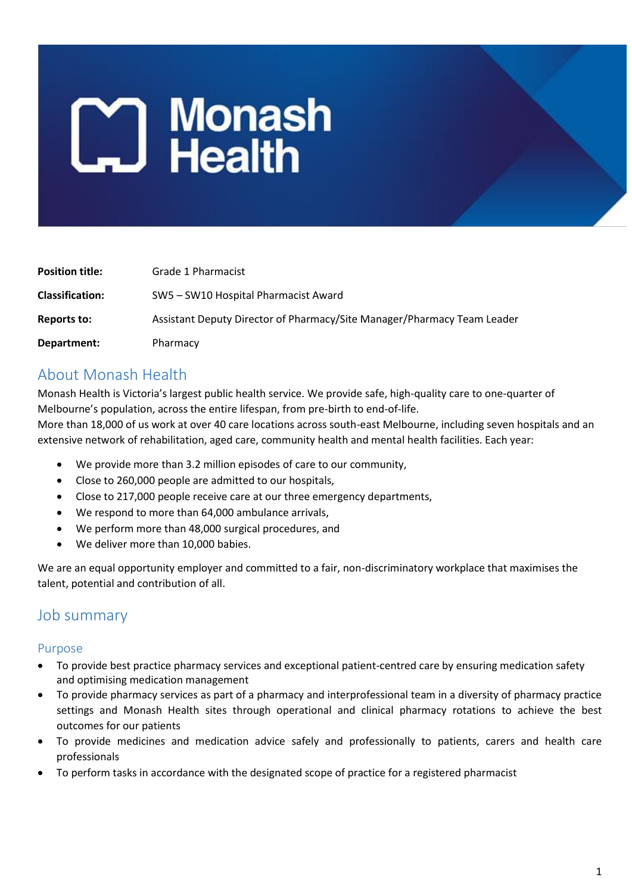# **Monash**<br> **L.** Health

| <b>Position title:</b> | Grade 1 Pharmacist                                                      |
|------------------------|-------------------------------------------------------------------------|
| <b>Classification:</b> | SW5 – SW10 Hospital Pharmacist Award                                    |
| Reports to:            | Assistant Deputy Director of Pharmacy/Site Manager/Pharmacy Team Leader |
| Department:            | Pharmacy                                                                |

# About Monash Health

Monash Health is Victoria's largest public health service. We provide safe, high-quality care to one-quarter of Melbourne's population, across the entire lifespan, from pre-birth to end-of-life.

More than 18,000 of us work at over 40 care locations across south-east Melbourne, including seven hospitals and an extensive network of rehabilitation, aged care, community health and mental health facilities. Each year:

- We provide more than 3.2 million episodes of care to our community,
- Close to 260,000 people are admitted to our hospitals,
- Close to 217,000 people receive care at our three emergency departments,
- We respond to more than 64,000 ambulance arrivals,
- We perform more than 48,000 surgical procedures, and
- We deliver more than 10,000 babies.

We are an equal opportunity employer and committed to a fair, non-discriminatory workplace that maximises the talent, potential and contribution of all.

## Job summary

#### Purpose

- To provide best practice pharmacy services and exceptional patient-centred care by ensuring medication safety and optimising medication management
- To provide pharmacy services as part of a pharmacy and interprofessional team in a diversity of pharmacy practice settings and Monash Health sites through operational and clinical pharmacy rotations to achieve the best outcomes for our patients
- To provide medicines and medication advice safely and professionally to patients, carers and health care professionals
- To perform tasks in accordance with the designated scope of practice for a registered pharmacist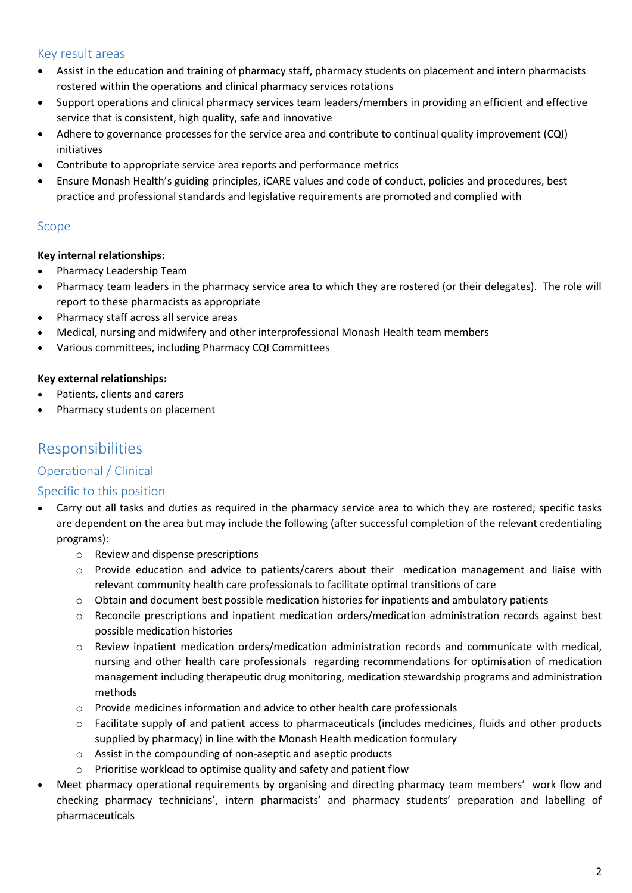#### Key result areas

- Assist in the education and training of pharmacy staff, pharmacy students on placement and intern pharmacists rostered within the operations and clinical pharmacy services rotations
- Support operations and clinical pharmacy services team leaders/members in providing an efficient and effective service that is consistent, high quality, safe and innovative
- Adhere to governance processes for the service area and contribute to continual quality improvement (CQI) initiatives
- Contribute to appropriate service area reports and performance metrics
- Ensure Monash Health's guiding principles, iCARE values and code of conduct, policies and procedures, best practice and professional standards and legislative requirements are promoted and complied with

#### Scope

#### **Key internal relationships:**

- Pharmacy Leadership Team
- Pharmacy team leaders in the pharmacy service area to which they are rostered (or their delegates). The role will report to these pharmacists as appropriate
- Pharmacy staff across all service areas
- Medical, nursing and midwifery and other interprofessional Monash Health team members
- Various committees, including Pharmacy CQI Committees

#### **Key external relationships:**

- Patients, clients and carers
- Pharmacy students on placement

## Responsibilities

#### Operational / Clinical

#### Specific to this position

- Carry out all tasks and duties as required in the pharmacy service area to which they are rostered; specific tasks are dependent on the area but may include the following (after successful completion of the relevant credentialing programs):
	- o Review and dispense prescriptions
	- o Provide education and advice to patients/carers about their medication management and liaise with relevant community health care professionals to facilitate optimal transitions of care
	- $\circ$  Obtain and document best possible medication histories for inpatients and ambulatory patients
	- o Reconcile prescriptions and inpatient medication orders/medication administration records against best possible medication histories
	- o Review inpatient medication orders/medication administration records and communicate with medical, nursing and other health care professionals regarding recommendations for optimisation of medication management including therapeutic drug monitoring, medication stewardship programs and administration methods
	- o Provide medicines information and advice to other health care professionals
	- $\circ$  Facilitate supply of and patient access to pharmaceuticals (includes medicines, fluids and other products supplied by pharmacy) in line with the Monash Health medication formulary
	- o Assist in the compounding of non-aseptic and aseptic products
	- o Prioritise workload to optimise quality and safety and patient flow
- Meet pharmacy operational requirements by organising and directing pharmacy team members' work flow and checking pharmacy technicians', intern pharmacists' and pharmacy students' preparation and labelling of pharmaceuticals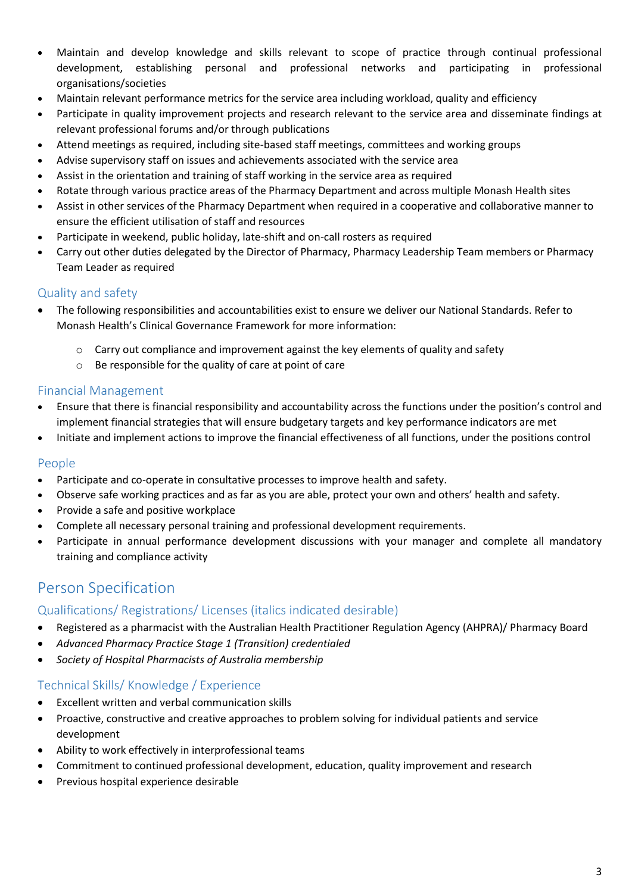- Maintain and develop knowledge and skills relevant to scope of practice through continual professional development, establishing personal and professional networks and participating in professional organisations/societies
- Maintain relevant performance metrics for the service area including workload, quality and efficiency
- Participate in quality improvement projects and research relevant to the service area and disseminate findings at relevant professional forums and/or through publications
- Attend meetings as required, including site-based staff meetings, committees and working groups
- Advise supervisory staff on issues and achievements associated with the service area
- Assist in the orientation and training of staff working in the service area as required
- Rotate through various practice areas of the Pharmacy Department and across multiple Monash Health sites
- Assist in other services of the Pharmacy Department when required in a cooperative and collaborative manner to ensure the efficient utilisation of staff and resources
- Participate in weekend, public holiday, late-shift and on-call rosters as required
- Carry out other duties delegated by the Director of Pharmacy, Pharmacy Leadership Team members or Pharmacy Team Leader as required

#### Quality and safety

- The following responsibilities and accountabilities exist to ensure we deliver our National Standards. Refer to Monash Health's Clinical Governance Framework for more information:
	- $\circ$  Carry out compliance and improvement against the key elements of quality and safety
	- o Be responsible for the quality of care at point of care

#### Financial Management

- Ensure that there is financial responsibility and accountability across the functions under the position's control and implement financial strategies that will ensure budgetary targets and key performance indicators are met
- Initiate and implement actions to improve the financial effectiveness of all functions, under the positions control

#### People

- Participate and co-operate in consultative processes to improve health and safety.
- Observe safe working practices and as far as you are able, protect your own and others' health and safety.
- Provide a safe and positive workplace
- Complete all necessary personal training and professional development requirements.
- Participate in annual performance development discussions with your manager and complete all mandatory training and compliance activity

# Person Specification

#### Qualifications/ Registrations/ Licenses (italics indicated desirable)

- Registered as a pharmacist with the Australian Health Practitioner Regulation Agency (AHPRA)/ Pharmacy Board
- *Advanced Pharmacy Practice Stage 1 (Transition) credentialed*
- *Society of Hospital Pharmacists of Australia membership*

#### Technical Skills/ Knowledge / Experience

- Excellent written and verbal communication skills
- Proactive, constructive and creative approaches to problem solving for individual patients and service development
- Ability to work effectively in interprofessional teams
- Commitment to continued professional development, education, quality improvement and research
- **•** Previous hospital experience desirable